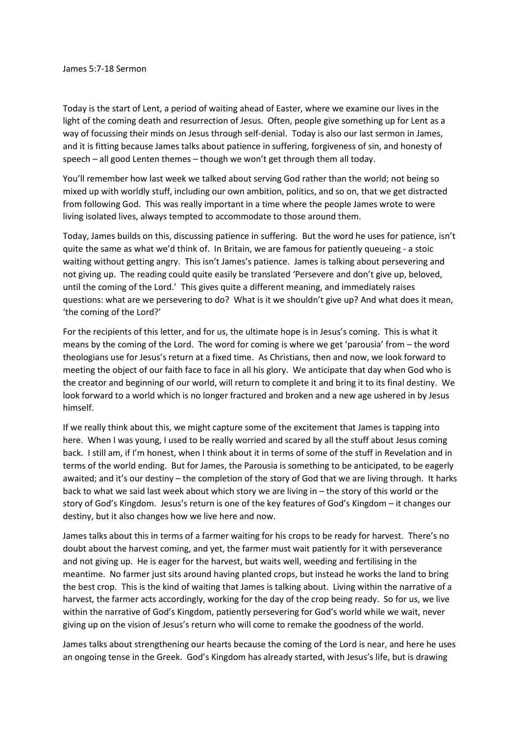Today is the start of Lent, a period of waiting ahead of Easter, where we examine our lives in the light of the coming death and resurrection of Jesus. Often, people give something up for Lent as a way of focussing their minds on Jesus through self-denial. Today is also our last sermon in James, and it is fitting because James talks about patience in suffering, forgiveness of sin, and honesty of speech – all good Lenten themes – though we won't get through them all today.

You'll remember how last week we talked about serving God rather than the world; not being so mixed up with worldly stuff, including our own ambition, politics, and so on, that we get distracted from following God. This was really important in a time where the people James wrote to were living isolated lives, always tempted to accommodate to those around them.

Today, James builds on this, discussing patience in suffering. But the word he uses for patience, isn't quite the same as what we'd think of. In Britain, we are famous for patiently queueing - a stoic waiting without getting angry. This isn't James's patience. James is talking about persevering and not giving up. The reading could quite easily be translated 'Persevere and don't give up, beloved, until the coming of the Lord.' This gives quite a different meaning, and immediately raises questions: what are we persevering to do? What is it we shouldn't give up? And what does it mean, 'the coming of the Lord?'

For the recipients of this letter, and for us, the ultimate hope is in Jesus's coming. This is what it means by the coming of the Lord. The word for coming is where we get 'parousia' from – the word theologians use for Jesus's return at a fixed time. As Christians, then and now, we look forward to meeting the object of our faith face to face in all his glory. We anticipate that day when God who is the creator and beginning of our world, will return to complete it and bring it to its final destiny. We look forward to a world which is no longer fractured and broken and a new age ushered in by Jesus himself.

If we really think about this, we might capture some of the excitement that James is tapping into here. When I was young, I used to be really worried and scared by all the stuff about Jesus coming back. I still am, if I'm honest, when I think about it in terms of some of the stuff in Revelation and in terms of the world ending. But for James, the Parousia is something to be anticipated, to be eagerly awaited; and it's our destiny – the completion of the story of God that we are living through. It harks back to what we said last week about which story we are living in – the story of this world or the story of God's Kingdom. Jesus's return is one of the key features of God's Kingdom – it changes our destiny, but it also changes how we live here and now.

James talks about this in terms of a farmer waiting for his crops to be ready for harvest. There's no doubt about the harvest coming, and yet, the farmer must wait patiently for it with perseverance and not giving up. He is eager for the harvest, but waits well, weeding and fertilising in the meantime. No farmer just sits around having planted crops, but instead he works the land to bring the best crop. This is the kind of waiting that James is talking about. Living within the narrative of a harvest, the farmer acts accordingly, working for the day of the crop being ready. So for us, we live within the narrative of God's Kingdom, patiently persevering for God's world while we wait, never giving up on the vision of Jesus's return who will come to remake the goodness of the world.

James talks about strengthening our hearts because the coming of the Lord is near, and here he uses an ongoing tense in the Greek. God's Kingdom has already started, with Jesus's life, but is drawing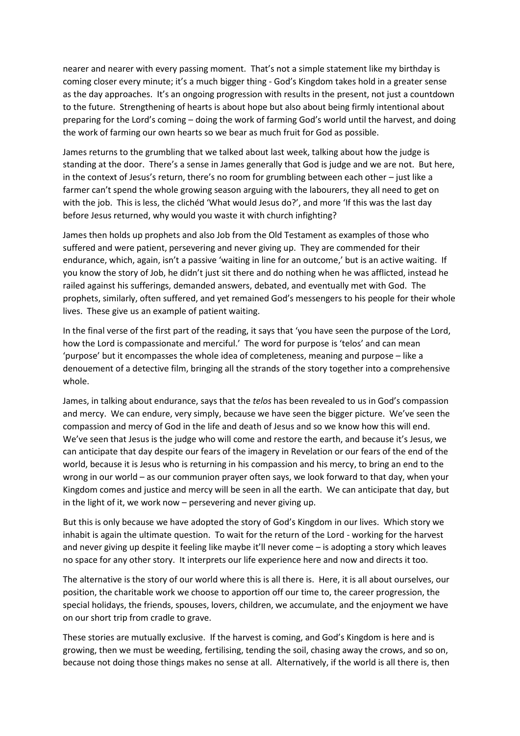nearer and nearer with every passing moment. That's not a simple statement like my birthday is coming closer every minute; it's a much bigger thing - God's Kingdom takes hold in a greater sense as the day approaches. It's an ongoing progression with results in the present, not just a countdown to the future. Strengthening of hearts is about hope but also about being firmly intentional about preparing for the Lord's coming – doing the work of farming God's world until the harvest, and doing the work of farming our own hearts so we bear as much fruit for God as possible.

James returns to the grumbling that we talked about last week, talking about how the judge is standing at the door. There's a sense in James generally that God is judge and we are not. But here, in the context of Jesus's return, there's no room for grumbling between each other – just like a farmer can't spend the whole growing season arguing with the labourers, they all need to get on with the job. This is less, the clichéd 'What would Jesus do?', and more 'If this was the last day before Jesus returned, why would you waste it with church infighting?

James then holds up prophets and also Job from the Old Testament as examples of those who suffered and were patient, persevering and never giving up. They are commended for their endurance, which, again, isn't a passive 'waiting in line for an outcome,' but is an active waiting. If you know the story of Job, he didn't just sit there and do nothing when he was afflicted, instead he railed against his sufferings, demanded answers, debated, and eventually met with God. The prophets, similarly, often suffered, and yet remained God's messengers to his people for their whole lives. These give us an example of patient waiting.

In the final verse of the first part of the reading, it says that 'you have seen the purpose of the Lord, how the Lord is compassionate and merciful.' The word for purpose is 'telos' and can mean 'purpose' but it encompasses the whole idea of completeness, meaning and purpose – like a denouement of a detective film, bringing all the strands of the story together into a comprehensive whole.

James, in talking about endurance, says that the *telos* has been revealed to us in God's compassion and mercy. We can endure, very simply, because we have seen the bigger picture. We've seen the compassion and mercy of God in the life and death of Jesus and so we know how this will end. We've seen that Jesus is the judge who will come and restore the earth, and because it's Jesus, we can anticipate that day despite our fears of the imagery in Revelation or our fears of the end of the world, because it is Jesus who is returning in his compassion and his mercy, to bring an end to the wrong in our world – as our communion prayer often says, we look forward to that day, when your Kingdom comes and justice and mercy will be seen in all the earth. We can anticipate that day, but in the light of it, we work now – persevering and never giving up.

But this is only because we have adopted the story of God's Kingdom in our lives. Which story we inhabit is again the ultimate question. To wait for the return of the Lord - working for the harvest and never giving up despite it feeling like maybe it'll never come – is adopting a story which leaves no space for any other story. It interprets our life experience here and now and directs it too.

The alternative is the story of our world where this is all there is. Here, it is all about ourselves, our position, the charitable work we choose to apportion off our time to, the career progression, the special holidays, the friends, spouses, lovers, children, we accumulate, and the enjoyment we have on our short trip from cradle to grave.

These stories are mutually exclusive. If the harvest is coming, and God's Kingdom is here and is growing, then we must be weeding, fertilising, tending the soil, chasing away the crows, and so on, because not doing those things makes no sense at all. Alternatively, if the world is all there is, then